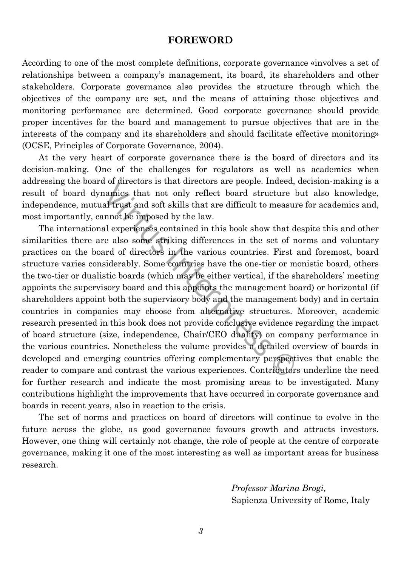## **FOREWORD**

According to one of the most complete definitions, corporate governance «involves a set of relationships between a company's management, its board, its shareholders and other stakeholders. Corporate governance also provides the structure through which the objectives of the company are set, and the means of attaining those objectives and monitoring performance are determined. Good corporate governance should provide proper incentives for the board and management to pursue objectives that are in the interests of the company and its shareholders and should facilitate effective monitoring» (OCSE, Principles of Corporate Governance, 2004).

At the very heart of corporate governance there is the board of directors and its decision-making. One of the challenges for regulators as well as academics when addressing the board of directors is that directors are people. Indeed, decision-making is a result of board dynamics that not only reflect board structure but also knowledge, independence, mutual trust and soft skills that are difficult to measure for academics and, most importantly, cannot be imposed by the law.

namics that and an electron are people. Indeed,<br>namics that not only reflect board structure lal trust and soft skills that are difficult to measure<br>annot be imposed by the law.<br>al experiences contained in this book show t The international experiences contained in this book show that despite this and other similarities there are also some striking differences in the set of norms and voluntary practices on the board of directors in the various countries. First and foremost, board structure varies considerably. Some countries have the one-tier or monistic board, others the two-tier or dualistic boards (which may be either vertical, if the shareholders' meeting appoints the supervisory board and this appoints the management board) or horizontal (if shareholders appoint both the supervisory body and the management body) and in certain countries in companies may choose from alternative structures. Moreover, academic research presented in this book does not provide conclusive evidence regarding the impact of board structure (size, independence, Chair/CEO duality) on company performance in the various countries. Nonetheless the volume provides a detailed overview of boards in developed and emerging countries offering complementary perspectives that enable the reader to compare and contrast the various experiences. Contributors underline the need for further research and indicate the most promising areas to be investigated. Many contributions highlight the improvements that have occurred in corporate governance and boards in recent years, also in reaction to the crisis.

The set of norms and practices on board of directors will continue to evolve in the future across the globe, as good governance favours growth and attracts investors. However, one thing will certainly not change, the role of people at the centre of corporate governance, making it one of the most interesting as well as important areas for business research.

> *Professor Marina Brogi,* Sapienza University of Rome, Italy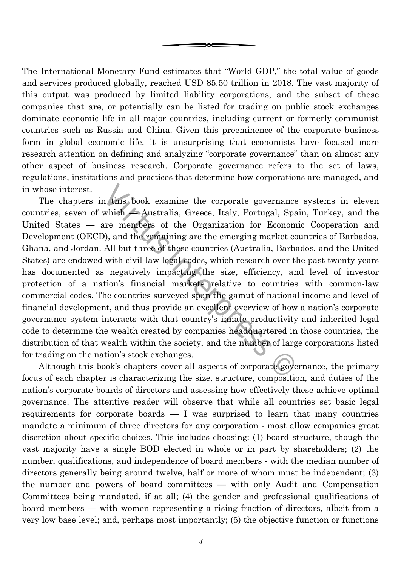The International Monetary Fund estimates that "World GDP," the total value of goods and services produced globally, reached USD 85.50 trillion in 2018. The vast majority of this output was produced by limited liability corporations, and the subset of these companies that are, or potentially can be listed for trading on public stock exchanges dominate economic life in all major countries, including current or formerly communist countries such as Russia and China. Given this preeminence of the corporate business form in global economic life, it is unsurprising that economists have focused more research attention on defining and analyzing "corporate governance" than on almost any other aspect of business research. Corporate governance refers to the set of laws, regulations, institutions and practices that determine how corporations are managed, and in whose interest.

n this book examine the corporate governance<br>which Australia, Greece, Italy, Portugal, Spa<br>are members of the Organization for Econom<br>)), and the remaining are the emerging market co<br>All but three of these countries (Austr The chapters in this book examine the corporate governance systems in eleven countries, seven of which — Australia, Greece, Italy, Portugal, Spain, Turkey, and the United States — are members of the Organization for Economic Cooperation and Development (OECD), and the remaining are the emerging market countries of Barbados, Ghana, and Jordan. All but three of these countries (Australia, Barbados, and the United States) are endowed with civil-law legal codes, which research over the past twenty years has documented as negatively impacting the size, efficiency, and level of investor protection of a nation's financial markets relative to countries with common-law commercial codes. The countries surveyed span the gamut of national income and level of financial development, and thus provide an excellent overview of how a nation's corporate governance system interacts with that country's innate productivity and inherited legal code to determine the wealth created by companies headquartered in those countries, the distribution of that wealth within the society, and the number of large corporations listed for trading on the nation's stock exchanges.

Although this book's chapters cover all aspects of corporate governance, the primary focus of each chapter is characterizing the size, structure, composition, and duties of the nation's corporate boards of directors and assessing how effectively these achieve optimal governance. The attentive reader will observe that while all countries set basic legal requirements for corporate boards  $-$  I was surprised to learn that many countries mandate a minimum of three directors for any corporation - most allow companies great discretion about specific choices. This includes choosing: (1) board structure, though the vast majority have a single BOD elected in whole or in part by shareholders; (2) the number, qualifications, and independence of board members - with the median number of directors generally being around twelve, half or more of whom must be independent; (3) the number and powers of board committees — with only Audit and Compensation Committees being mandated, if at all; (4) the gender and professional qualifications of board members — with women representing a rising fraction of directors, albeit from a very low base level; and, perhaps most importantly; (5) the objective function or functions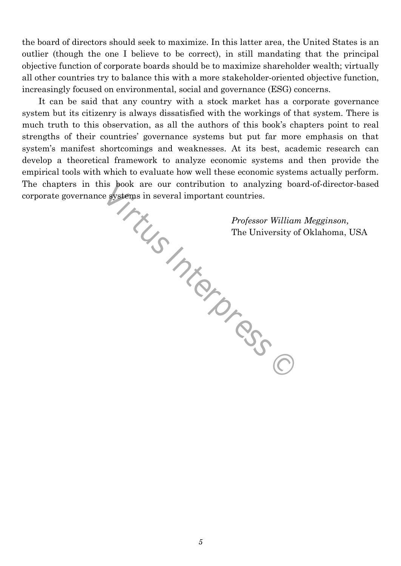the board of directors should seek to maximize. In this latter area, the United States is an outlier (though the one I believe to be correct), in still mandating that the principal objective function of corporate boards should be to maximize shareholder wealth; virtually all other countries try to balance this with a more stakeholder-oriented objective function, increasingly focused on environmental, social and governance (ESG) concerns.

stems ... It can be said that any country with a stock market has a corporate governance system but its citizenry is always dissatisfied with the workings of that system. There is much truth to this observation, as all the authors of this book's chapters point to real strengths of their countries' governance systems but put far more emphasis on that system's manifest shortcomings and weaknesses. At its best, academic research can develop a theoretical framework to analyze economic systems and then provide the empirical tools with which to evaluate how well these economic systems actually perform. The chapters in this book are our contribution to analyzing board-of-director-based corporate governance systems in several important countries.

*Professor William Megginson,*  The University of Oklahoma, USA

*5*